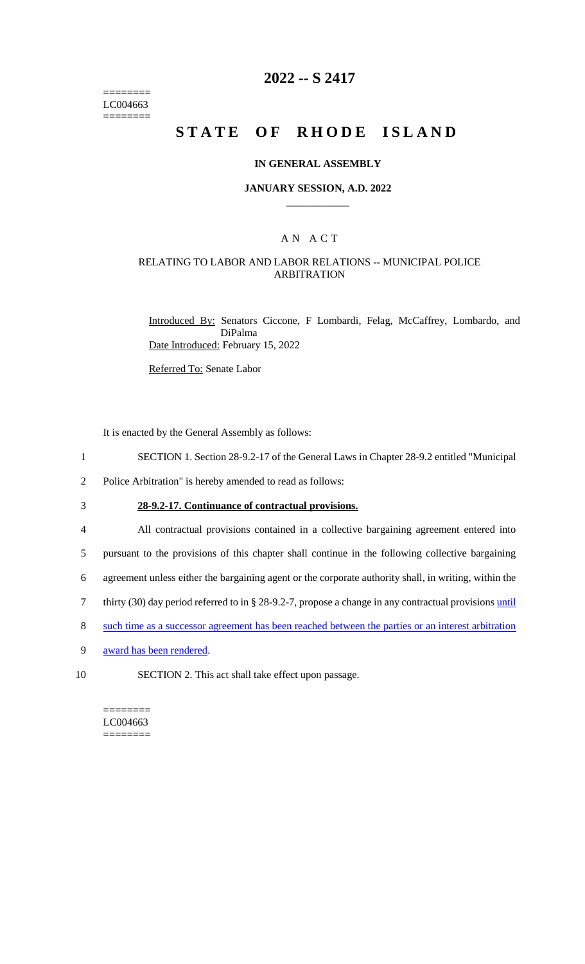======== LC004663 ========

### **2022 -- S 2417**

# STATE OF RHODE ISLAND

#### **IN GENERAL ASSEMBLY**

#### **JANUARY SESSION, A.D. 2022 \_\_\_\_\_\_\_\_\_\_\_\_**

### A N A C T

### RELATING TO LABOR AND LABOR RELATIONS -- MUNICIPAL POLICE ARBITRATION

Introduced By: Senators Ciccone, F Lombardi, Felag, McCaffrey, Lombardo, and DiPalma Date Introduced: February 15, 2022

Referred To: Senate Labor

It is enacted by the General Assembly as follows:

- 1 SECTION 1. Section 28-9.2-17 of the General Laws in Chapter 28-9.2 entitled "Municipal
- 2 Police Arbitration" is hereby amended to read as follows:
- 3 **28-9.2-17. Continuance of contractual provisions.**
- 

4 All contractual provisions contained in a collective bargaining agreement entered into

- 5 pursuant to the provisions of this chapter shall continue in the following collective bargaining
- 6 agreement unless either the bargaining agent or the corporate authority shall, in writing, within the
- 7 thirty (30) day period referred to in § 28-9.2-7, propose a change in any contractual provisions until
- 8 such time as a successor agreement has been reached between the parties or an interest arbitration
- 9 award has been rendered.
- 
- 10 SECTION 2. This act shall take effect upon passage.

======== LC004663 ========